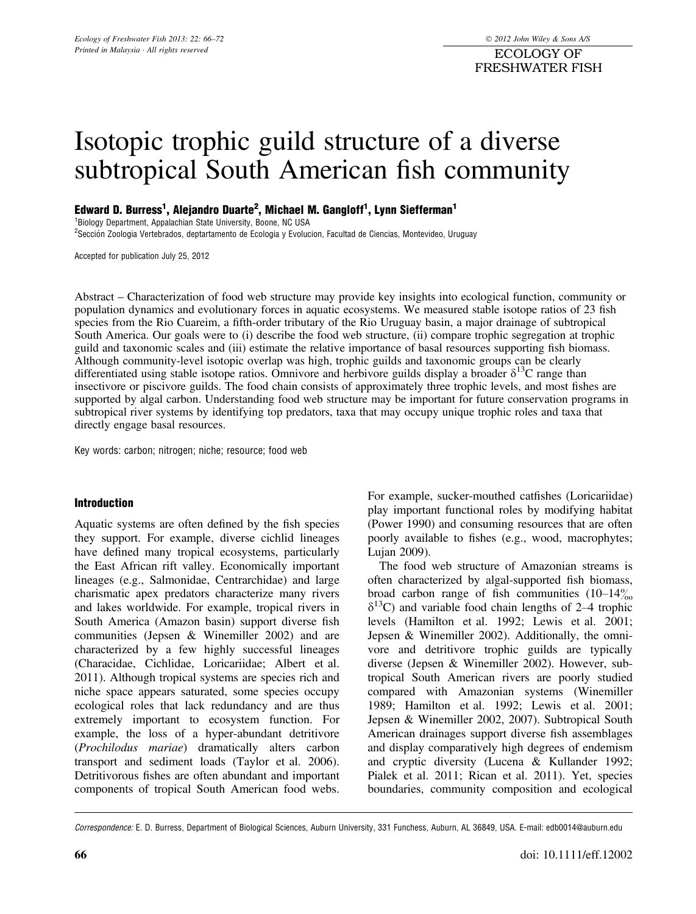ECOLOGY OF FRESHWATER FISH

# Isotopic trophic guild structure of a diverse subtropical South American fish community

Edward D. Burress<sup>1</sup>, Alejandro Duarte<sup>2</sup>, Michael M. Gangloff<sup>1</sup>, Lynn Siefferman<sup>1</sup>

1 Biology Department, Appalachian State University, Boone, NC USA

<sup>2</sup>Sección Zoologia Vertebrados, deptartamento de Ecologia y Evolucion, Facultad de Ciencias, Montevideo, Uruguay

Accepted for publication July 25, 2012

Abstract – Characterization of food web structure may provide key insights into ecological function, community or population dynamics and evolutionary forces in aquatic ecosystems. We measured stable isotope ratios of 23 fish species from the Rio Cuareim, a fifth-order tributary of the Rio Uruguay basin, a major drainage of subtropical South America. Our goals were to (i) describe the food web structure, (ii) compare trophic segregation at trophic guild and taxonomic scales and (iii) estimate the relative importance of basal resources supporting fish biomass. Although community-level isotopic overlap was high, trophic guilds and taxonomic groups can be clearly differentiated using stable isotope ratios. Omnivore and herbivore guilds display a broader  $\delta^{13}C$  range than insectivore or piscivore guilds. The food chain consists of approximately three trophic levels, and most fishes are supported by algal carbon. Understanding food web structure may be important for future conservation programs in subtropical river systems by identifying top predators, taxa that may occupy unique trophic roles and taxa that directly engage basal resources.

Key words: carbon; nitrogen; niche; resource; food web

#### Introduction

Aquatic systems are often defined by the fish species they support. For example, diverse cichlid lineages have defined many tropical ecosystems, particularly the East African rift valley. Economically important lineages (e.g., Salmonidae, Centrarchidae) and large charismatic apex predators characterize many rivers and lakes worldwide. For example, tropical rivers in South America (Amazon basin) support diverse fish communities (Jepsen & Winemiller 2002) and are characterized by a few highly successful lineages (Characidae, Cichlidae, Loricariidae; Albert et al. 2011). Although tropical systems are species rich and niche space appears saturated, some species occupy ecological roles that lack redundancy and are thus extremely important to ecosystem function. For example, the loss of a hyper-abundant detritivore (Prochilodus mariae) dramatically alters carbon transport and sediment loads (Taylor et al. 2006). Detritivorous fishes are often abundant and important components of tropical South American food webs.

For example, sucker-mouthed catfishes (Loricariidae) play important functional roles by modifying habitat (Power 1990) and consuming resources that are often poorly available to fishes (e.g., wood, macrophytes; Lujan 2009).

The food web structure of Amazonian streams is often characterized by algal-supported fish biomass, broad carbon range of fish communities  $(10-14\%)$  $\delta^{13}$ C) and variable food chain lengths of 2–4 trophic levels (Hamilton et al. 1992; Lewis et al. 2001; Jepsen & Winemiller 2002). Additionally, the omnivore and detritivore trophic guilds are typically diverse (Jepsen & Winemiller 2002). However, subtropical South American rivers are poorly studied compared with Amazonian systems (Winemiller 1989; Hamilton et al. 1992; Lewis et al. 2001; Jepsen & Winemiller 2002, 2007). Subtropical South American drainages support diverse fish assemblages and display comparatively high degrees of endemism and cryptic diversity (Lucena & Kullander 1992; Pialek et al. 2011; Rican et al. 2011). Yet, species boundaries, community composition and ecological

Correspondence: E. D. Burress, Department of Biological Sciences, Auburn University, 331 Funchess, Auburn, AL 36849, USA. E-mail: edb0014@auburn.edu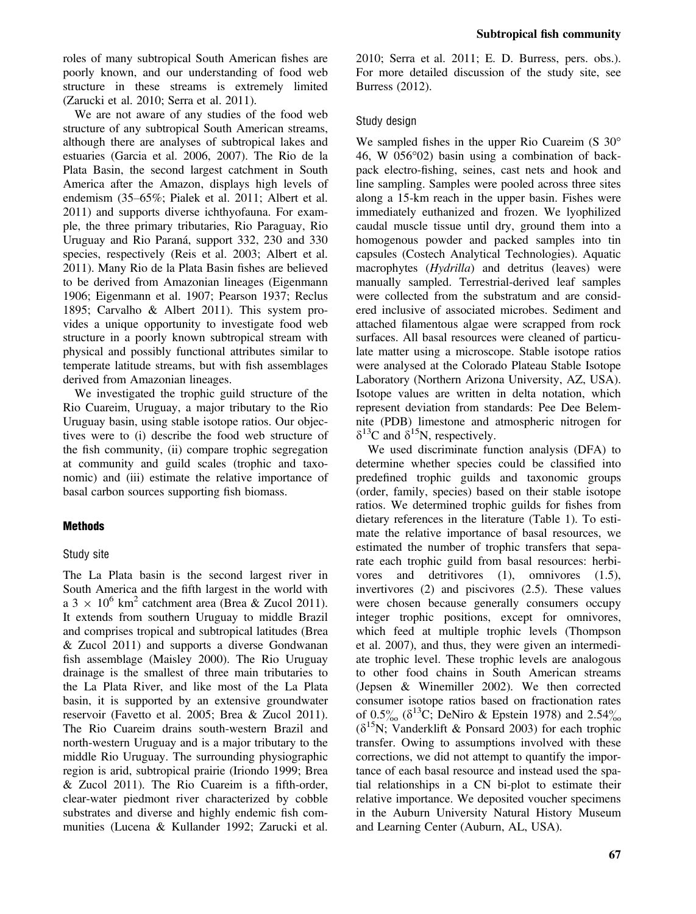roles of many subtropical South American fishes are poorly known, and our understanding of food web structure in these streams is extremely limited (Zarucki et al. 2010; Serra et al. 2011).

We are not aware of any studies of the food web structure of any subtropical South American streams, although there are analyses of subtropical lakes and estuaries (Garcia et al. 2006, 2007). The Rio de la Plata Basin, the second largest catchment in South America after the Amazon, displays high levels of endemism (35–65%; Pialek et al. 2011; Albert et al. 2011) and supports diverse ichthyofauna. For example, the three primary tributaries, Rio Paraguay, Rio Uruguay and Rio Paraná, support 332, 230 and 330 species, respectively (Reis et al. 2003; Albert et al. 2011). Many Rio de la Plata Basin fishes are believed to be derived from Amazonian lineages (Eigenmann 1906; Eigenmann et al. 1907; Pearson 1937; Reclus 1895; Carvalho & Albert 2011). This system provides a unique opportunity to investigate food web structure in a poorly known subtropical stream with physical and possibly functional attributes similar to temperate latitude streams, but with fish assemblages derived from Amazonian lineages.

We investigated the trophic guild structure of the Rio Cuareim, Uruguay, a major tributary to the Rio Uruguay basin, using stable isotope ratios. Our objectives were to (i) describe the food web structure of the fish community, (ii) compare trophic segregation at community and guild scales (trophic and taxonomic) and (iii) estimate the relative importance of basal carbon sources supporting fish biomass.

## **Methods**

## Study site

The La Plata basin is the second largest river in South America and the fifth largest in the world with a 3  $\times$  10<sup>6</sup> km<sup>2</sup> catchment area (Brea & Zucol 2011). It extends from southern Uruguay to middle Brazil and comprises tropical and subtropical latitudes (Brea & Zucol 2011) and supports a diverse Gondwanan fish assemblage (Maisley 2000). The Rio Uruguay drainage is the smallest of three main tributaries to the La Plata River, and like most of the La Plata basin, it is supported by an extensive groundwater reservoir (Favetto et al. 2005; Brea & Zucol 2011). The Rio Cuareim drains south-western Brazil and north-western Uruguay and is a major tributary to the middle Rio Uruguay. The surrounding physiographic region is arid, subtropical prairie (Iriondo 1999; Brea & Zucol 2011). The Rio Cuareim is a fifth-order, clear-water piedmont river characterized by cobble substrates and diverse and highly endemic fish communities (Lucena & Kullander 1992; Zarucki et al.

2010; Serra et al. 2011; E. D. Burress, pers. obs.). For more detailed discussion of the study site, see Burress (2012).

## Study design

We sampled fishes in the upper Rio Cuareim (S 30° 46, W 056°02) basin using a combination of backpack electro-fishing, seines, cast nets and hook and line sampling. Samples were pooled across three sites along a 15-km reach in the upper basin. Fishes were immediately euthanized and frozen. We lyophilized caudal muscle tissue until dry, ground them into a homogenous powder and packed samples into tin capsules (Costech Analytical Technologies). Aquatic macrophytes (*Hydrilla*) and detritus (leaves) were manually sampled. Terrestrial-derived leaf samples were collected from the substratum and are considered inclusive of associated microbes. Sediment and attached filamentous algae were scrapped from rock surfaces. All basal resources were cleaned of particulate matter using a microscope. Stable isotope ratios were analysed at the Colorado Plateau Stable Isotope Laboratory (Northern Arizona University, AZ, USA). Isotope values are written in delta notation, which represent deviation from standards: Pee Dee Belemnite (PDB) limestone and atmospheric nitrogen for  $\delta^{13}$ C and  $\delta^{15}$ N, respectively.

We used discriminate function analysis (DFA) to determine whether species could be classified into predefined trophic guilds and taxonomic groups (order, family, species) based on their stable isotope ratios. We determined trophic guilds for fishes from dietary references in the literature (Table 1). To estimate the relative importance of basal resources, we estimated the number of trophic transfers that separate each trophic guild from basal resources: herbivores and detritivores (1), omnivores (1.5), invertivores (2) and piscivores (2.5). These values were chosen because generally consumers occupy integer trophic positions, except for omnivores, which feed at multiple trophic levels (Thompson et al. 2007), and thus, they were given an intermediate trophic level. These trophic levels are analogous to other food chains in South American streams (Jepsen & Winemiller 2002). We then corrected consumer isotope ratios based on fractionation rates of  $0.5\%$  ( $\delta^{13}$ C; DeNiro & Epstein 1978) and 2.54 $\%$  $(\delta^{15}N;$  Vanderklift & Ponsard 2003) for each trophic transfer. Owing to assumptions involved with these corrections, we did not attempt to quantify the importance of each basal resource and instead used the spatial relationships in a CN bi-plot to estimate their relative importance. We deposited voucher specimens in the Auburn University Natural History Museum and Learning Center (Auburn, AL, USA).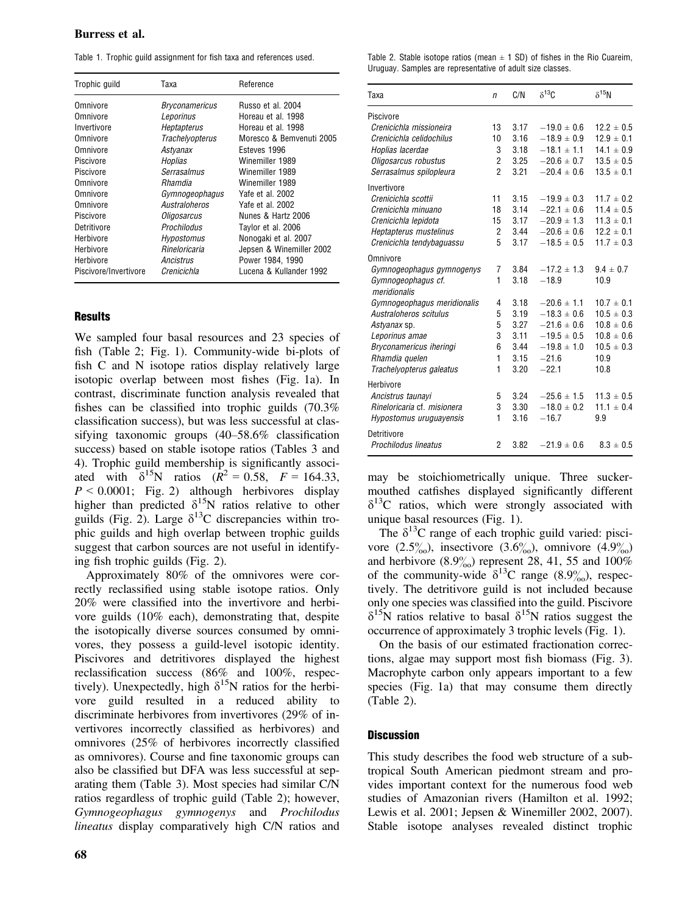### Burress et al.

|  |  |  | Table 1. Trophic guild assignment for fish taxa and references used. |  |  |  |  |  |  |
|--|--|--|----------------------------------------------------------------------|--|--|--|--|--|--|
|--|--|--|----------------------------------------------------------------------|--|--|--|--|--|--|

| Trophic quild         | Таха               | Reference                |
|-----------------------|--------------------|--------------------------|
| Omnivore              | Bryconamericus     | Russo et al. 2004        |
| Omnivore              | Leporinus          | Horeau et al. 1998       |
| Invertivore           | <b>Heptapterus</b> | Horeau et al. 1998       |
| Omnivore              | Trachelyopterus    | Moresco & Bemvenuti 2005 |
| Omnivore              | Astyanax           | Esteves 1996             |
| Piscivore             | Hoplias            | Winemiller 1989          |
| Piscivore             | Serrasalmus        | Winemiller 1989          |
| Omnivore              | <i>Rhamdia</i>     | Winemiller 1989          |
| Omnivore              | Gymnogeophagus     | Yafe et al. 2002         |
| Omnivore              | Australoheros      | Yafe et al. 2002         |
| Piscivore             | Oligosarcus        | Nunes & Hartz 2006       |
| Detritivore           | Prochilodus        | Taylor et al. 2006       |
| Herbivore             | Hypostomus         | Nonogaki et al. 2007     |
| Herbivore             | Rineloricaria      | Jepsen & Winemiller 2002 |
| Herbivore             | Ancistrus          | Power 1984, 1990         |
| Piscivore/Invertivore | Crenicichla        | Lucena & Kullander 1992  |

#### **Results**

We sampled four basal resources and 23 species of fish (Table 2; Fig. 1). Community-wide bi-plots of fish C and N isotope ratios display relatively large isotopic overlap between most fishes (Fig. 1a). In contrast, discriminate function analysis revealed that fishes can be classified into trophic guilds (70.3% classification success), but was less successful at classifying taxonomic groups (40–58.6% classification success) based on stable isotope ratios (Tables 3 and 4). Trophic guild membership is significantly associated with  $\delta^{15}N$  ratios  $(R^2 = 0.58, F = 164.33,$  $P < 0.0001$ ; Fig. 2) although herbivores display higher than predicted  $\delta^{15}N$  ratios relative to other guilds (Fig. 2). Large  $\delta^{13}$ C discrepancies within trophic guilds and high overlap between trophic guilds suggest that carbon sources are not useful in identifying fish trophic guilds (Fig. 2).

Approximately 80% of the omnivores were correctly reclassified using stable isotope ratios. Only 20% were classified into the invertivore and herbivore guilds (10% each), demonstrating that, despite the isotopically diverse sources consumed by omnivores, they possess a guild-level isotopic identity. Piscivores and detritivores displayed the highest reclassification success (86% and 100%, respectively). Unexpectedly, high  $\delta^{15}N$  ratios for the herbivore guild resulted in a reduced ability to discriminate herbivores from invertivores (29% of invertivores incorrectly classified as herbivores) and omnivores (25% of herbivores incorrectly classified as omnivores). Course and fine taxonomic groups can also be classified but DFA was less successful at separating them (Table 3). Most species had similar C/N ratios regardless of trophic guild (Table 2); however, Gymnogeophagus gymnogenys and Prochilodus lineatus display comparatively high C/N ratios and Table 2. Stable isotope ratios (mean  $\pm$  1 SD) of fishes in the Rio Cuareim, Uruguay. Samples are representative of adult size classes.

| Taxa                        | n              | C/N  | $\delta^{13}$ C | $\delta^{15}$ N |
|-----------------------------|----------------|------|-----------------|-----------------|
| Piscivore                   |                |      |                 |                 |
| Crenicichla missioneira     | 13             | 3.17 | $-19.0 \pm 0.6$ | $12.2 \pm 0.5$  |
| Crenicichla celidochilus    | 10             | 3.16 | $-18.9 \pm 0.9$ | $12.9 \pm 0.1$  |
| Hoplias lacerdae            | 3              | 3.18 | $-18.1 \pm 1.1$ | $14.1 \pm 0.9$  |
| Oligosarcus robustus        | 2              | 3.25 | $-20.6 \pm 0.7$ | $13.5 \pm 0.5$  |
| Serrasalmus spilopleura     | $\mathfrak{p}$ | 3.21 | $-20.4 \pm 0.6$ | $13.5 \pm 0.1$  |
| Invertivore                 |                |      |                 |                 |
| Crenicichla scottii         | 11             | 3.15 | $-19.9 \pm 0.3$ | $11.7 \pm 0.2$  |
| Crenicichla minuano         | 18             | 3.14 | $-22.1 \pm 0.6$ | $11.4 \pm 0.5$  |
| Crenicichla lepidota        | 15             | 3.17 | $-20.9 \pm 1.3$ | $11.3 \pm 0.1$  |
| Heptapterus mustelinus      | 2              | 3.44 | $-20.6 \pm 0.6$ | $12.2 \pm 0.1$  |
| Crenicichla tendybaguassu   | 5              | 3.17 | $-18.5 \pm 0.5$ | $11.7 \pm 0.3$  |
| Omnivore                    |                |      |                 |                 |
| Gymnogeophagus gymnogenys   | 7              | 3.84 | $-17.2 \pm 1.3$ | $94 \pm 07$     |
| Gymnogeophagus cf.          | 1              | 3.18 | $-18.9$         | 10.9            |
| meridionalis                |                |      |                 |                 |
| Gymnogeophagus meridionalis | 4              | 3.18 | $-20.6 \pm 1.1$ | $10.7 \pm 0.1$  |
| Australoheros scitulus      | 5              | 3.19 | $-18.3 \pm 0.6$ | $10.5 \pm 0.3$  |
| Astyanax sp.                | 5              | 3.27 | $-21.6 \pm 0.6$ | $10.8 \pm 0.6$  |
| Leporinus amae              | 3              | 3.11 | $-19.5 \pm 0.5$ | $10.8 \pm 0.6$  |
| Bryconamericus iheringi     | 6              | 3.44 | $-19.8 \pm 1.0$ | $10.5 \pm 0.3$  |
| Rhamdia quelen              | $\mathbf{1}$   | 3.15 | $-21.6$         | 10.9            |
| Trachelyopterus galeatus    | 1              | 3.20 | $-22.1$         | 10.8            |
| Herbivore                   |                |      |                 |                 |
| Ancistrus taunavi           | 5              | 3.24 | $-25.6 \pm 1.5$ | $11.3 \pm 0.5$  |
| Rineloricaria cf. misionera | 3              | 3.30 | $-18.0 \pm 0.2$ | $11.1 \pm 0.4$  |
| Hypostomus uruguayensis     | $\mathbf{1}$   | 3.16 | $-16.7$         | 9.9             |
| Detritivore                 |                |      |                 |                 |
| Prochilodus lineatus        | 2              | 3.82 | $-21.9 \pm 0.6$ | $8.3 \pm 0.5$   |

may be stoichiometrically unique. Three suckermouthed catfishes displayed significantly different  $\delta^{13}$ C ratios, which were strongly associated with unique basal resources (Fig. 1).

The  $\delta^{13}$ C range of each trophic guild varied: piscivore  $(2.5\%)$ , insectivore  $(3.6\%)$ , omnivore  $(4.9\%)$ and herbivore  $(8.9\%)$  represent 28, 41, 55 and 100% of the community-wide  $\delta^{13}$ C range (8.9%), respectively. The detritivore guild is not included because only one species was classified into the guild. Piscivore  $\delta^{15}$ N ratios relative to basal  $\delta^{15}$ N ratios suggest the occurrence of approximately 3 trophic levels (Fig. 1).

On the basis of our estimated fractionation corrections, algae may support most fish biomass (Fig. 3). Macrophyte carbon only appears important to a few species (Fig. 1a) that may consume them directly (Table 2).

#### **Discussion**

This study describes the food web structure of a subtropical South American piedmont stream and provides important context for the numerous food web studies of Amazonian rivers (Hamilton et al. 1992; Lewis et al. 2001; Jepsen & Winemiller 2002, 2007). Stable isotope analyses revealed distinct trophic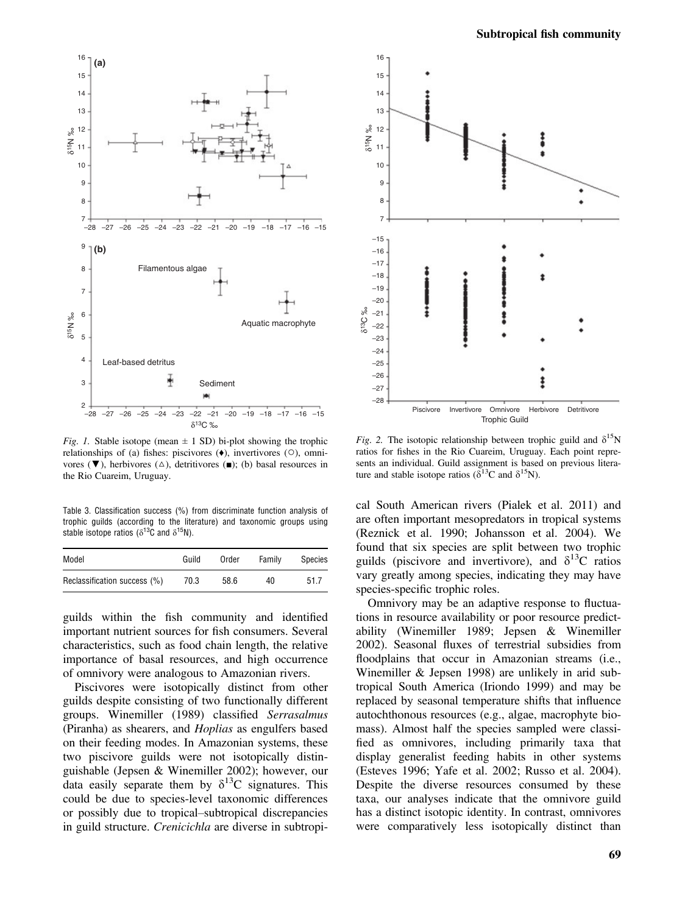

Fig. 1. Stable isotope (mean  $\pm$  1 SD) bi-plot showing the trophic relationships of (a) fishes: piscivores (♦), invertivores (○), omnivores ( $\nabla$ ), herbivores ( $\triangle$ ), detritivores ( $\blacksquare$ ); (b) basal resources in the Rio Cuareim, Uruguay.

Table 3. Classification success (%) from discriminate function analysis of trophic guilds (according to the literature) and taxonomic groups using stable isotope ratios ( $\delta^{13}$ C and  $\delta^{15}$ N).

| Model                        | Guild | Order | Family | Species |
|------------------------------|-------|-------|--------|---------|
| Reclassification success (%) | 70.3  | 58.6  | 40     | 51.7    |

guilds within the fish community and identified important nutrient sources for fish consumers. Several characteristics, such as food chain length, the relative importance of basal resources, and high occurrence of omnivory were analogous to Amazonian rivers.

Piscivores were isotopically distinct from other guilds despite consisting of two functionally different groups. Winemiller (1989) classified Serrasalmus (Piranha) as shearers, and Hoplias as engulfers based on their feeding modes. In Amazonian systems, these two piscivore guilds were not isotopically distinguishable (Jepsen & Winemiller 2002); however, our data easily separate them by  $\delta^{13}$ C signatures. This could be due to species-level taxonomic differences or possibly due to tropical–subtropical discrepancies in guild structure. Crenicichla are diverse in subtropi-



Fig. 2. The isotopic relationship between trophic guild and  $\delta^{15}N$ ratios for fishes in the Rio Cuareim, Uruguay. Each point represents an individual. Guild assignment is based on previous literature and stable isotope ratios ( $\delta^{13}$ C and  $\delta^{15}$ N).

cal South American rivers (Pialek et al. 2011) and are often important mesopredators in tropical systems (Reznick et al. 1990; Johansson et al. 2004). We found that six species are split between two trophic guilds (piscivore and invertivore), and  $\delta^{13}C$  ratios vary greatly among species, indicating they may have species-specific trophic roles.

Omnivory may be an adaptive response to fluctuations in resource availability or poor resource predictability (Winemiller 1989; Jepsen & Winemiller 2002). Seasonal fluxes of terrestrial subsidies from floodplains that occur in Amazonian streams (i.e., Winemiller & Jepsen 1998) are unlikely in arid subtropical South America (Iriondo 1999) and may be replaced by seasonal temperature shifts that influence autochthonous resources (e.g., algae, macrophyte biomass). Almost half the species sampled were classified as omnivores, including primarily taxa that display generalist feeding habits in other systems (Esteves 1996; Yafe et al. 2002; Russo et al. 2004). Despite the diverse resources consumed by these taxa, our analyses indicate that the omnivore guild has a distinct isotopic identity. In contrast, omnivores were comparatively less isotopically distinct than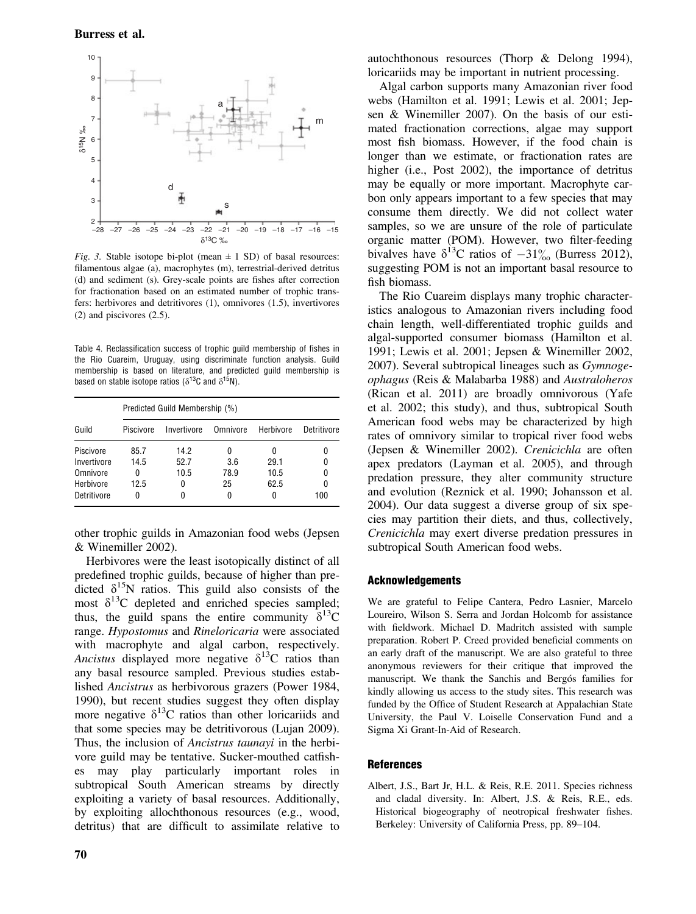

Fig. 3. Stable isotope bi-plot (mean  $\pm$  1 SD) of basal resources: filamentous algae (a), macrophytes (m), terrestrial-derived detritus (d) and sediment (s). Grey-scale points are fishes after correction for fractionation based on an estimated number of trophic transfers: herbivores and detritivores (1), omnivores (1.5), invertivores (2) and piscivores (2.5).

Table 4. Reclassification success of trophic guild membership of fishes in the Rio Cuareim, Uruguay, using discriminate function analysis. Guild membership is based on literature, and predicted guild membership is based on stable isotope ratios ( $\delta^{13}$ C and  $\delta^{15}$ N).

|             | Predicted Guild Membership (%) |      |          |           |             |  |  |  |
|-------------|--------------------------------|------|----------|-----------|-------------|--|--|--|
| Guild       | Piscivore<br>Invertivore       |      | Omnivore | Herbivore | Detritivore |  |  |  |
| Piscivore   | 85.7                           | 14.2 | 0        | 0         | 0           |  |  |  |
| Invertivore | 14.5                           | 52.7 | 3.6      | 29.1      | 0           |  |  |  |
| Omnivore    | 0                              | 10.5 | 78.9     | 10.5      | 0           |  |  |  |
| Herbivore   | 12.5                           | 0    | 25       | 62.5      | 0           |  |  |  |
| Detritivore | 0                              | ŋ    |          |           | 100         |  |  |  |

other trophic guilds in Amazonian food webs (Jepsen & Winemiller 2002).

Herbivores were the least isotopically distinct of all predefined trophic guilds, because of higher than predicted  $\delta^{15}$ N ratios. This guild also consists of the most  $\delta^{13}$ C depleted and enriched species sampled; thus, the guild spans the entire community  $\delta^{13}C$ range. Hypostomus and Rineloricaria were associated with macrophyte and algal carbon, respectively. Ancistus displayed more negative  $\delta^{13}$ C ratios than any basal resource sampled. Previous studies established Ancistrus as herbivorous grazers (Power 1984, 1990), but recent studies suggest they often display more negative  $\delta^{13}$ C ratios than other loricariids and that some species may be detritivorous (Lujan 2009). Thus, the inclusion of Ancistrus taunayi in the herbivore guild may be tentative. Sucker-mouthed catfishes may play particularly important roles in subtropical South American streams by directly exploiting a variety of basal resources. Additionally, by exploiting allochthonous resources (e.g., wood, detritus) that are difficult to assimilate relative to autochthonous resources (Thorp & Delong 1994), loricariids may be important in nutrient processing.

Algal carbon supports many Amazonian river food webs (Hamilton et al. 1991; Lewis et al. 2001; Jepsen & Winemiller 2007). On the basis of our estimated fractionation corrections, algae may support most fish biomass. However, if the food chain is longer than we estimate, or fractionation rates are higher (i.e., Post 2002), the importance of detritus may be equally or more important. Macrophyte carbon only appears important to a few species that may consume them directly. We did not collect water samples, so we are unsure of the role of particulate organic matter (POM). However, two filter-feeding bivalves have  $\delta^{13}$ C ratios of  $-31\%$  (Burress 2012), suggesting POM is not an important basal resource to fish biomass.

The Rio Cuareim displays many trophic characteristics analogous to Amazonian rivers including food chain length, well-differentiated trophic guilds and algal-supported consumer biomass (Hamilton et al. 1991; Lewis et al. 2001; Jepsen & Winemiller 2002, 2007). Several subtropical lineages such as Gymnogeophagus (Reis & Malabarba 1988) and Australoheros (Rican et al. 2011) are broadly omnivorous (Yafe et al. 2002; this study), and thus, subtropical South American food webs may be characterized by high rates of omnivory similar to tropical river food webs (Jepsen & Winemiller 2002). Crenicichla are often apex predators (Layman et al. 2005), and through predation pressure, they alter community structure and evolution (Reznick et al. 1990; Johansson et al. 2004). Our data suggest a diverse group of six species may partition their diets, and thus, collectively, Crenicichla may exert diverse predation pressures in subtropical South American food webs.

#### Acknowledgements

We are grateful to Felipe Cantera, Pedro Lasnier, Marcelo Loureiro, Wilson S. Serra and Jordan Holcomb for assistance with fieldwork. Michael D. Madritch assisted with sample preparation. Robert P. Creed provided beneficial comments on an early draft of the manuscript. We are also grateful to three anonymous reviewers for their critique that improved the manuscript. We thank the Sanchis and Bergós families for kindly allowing us access to the study sites. This research was funded by the Office of Student Research at Appalachian State University, the Paul V. Loiselle Conservation Fund and a Sigma Xi Grant-In-Aid of Research.

#### References

Albert, J.S., Bart Jr, H.L. & Reis, R.E. 2011. Species richness and cladal diversity. In: Albert, J.S. & Reis, R.E., eds. Historical biogeography of neotropical freshwater fishes. Berkeley: University of California Press, pp. 89–104.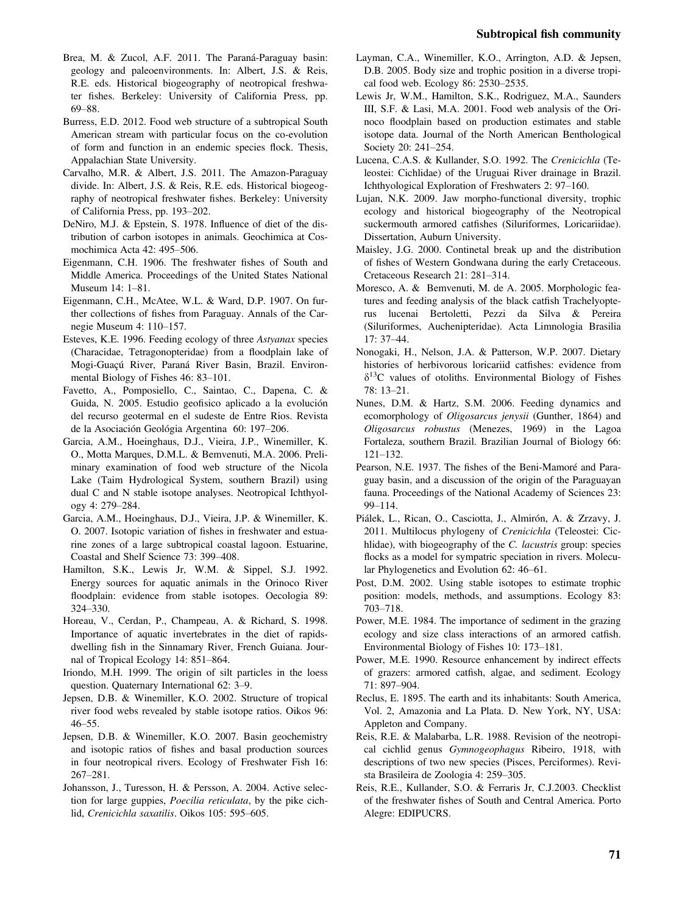- Brea, M. & Zucol, A.F. 2011. The Paraná-Paraguay basin: geology and paleoenvironments. In: Albert, J.S. & Reis, R.E. eds. Historical biogeography of neotropical freshwater fishes. Berkeley: University of California Press, pp. 69–88.
- Burress, E.D. 2012. Food web structure of a subtropical South American stream with particular focus on the co-evolution of form and function in an endemic species flock. Thesis, Appalachian State University.
- Carvalho, M.R. & Albert, J.S. 2011. The Amazon-Paraguay divide. In: Albert, J.S. & Reis, R.E. eds. Historical biogeography of neotropical freshwater fishes. Berkeley: University of California Press, pp. 193–202.
- DeNiro, M.J. & Epstein, S. 1978. Influence of diet of the distribution of carbon isotopes in animals. Geochimica at Cosmochimica Acta 42: 495–506.
- Eigenmann, C.H. 1906. The freshwater fishes of South and Middle America. Proceedings of the United States National Museum 14: 1–81.
- Eigenmann, C.H., McAtee, W.L. & Ward, D.P. 1907. On further collections of fishes from Paraguay. Annals of the Carnegie Museum 4: 110–157.
- Esteves, K.E. 1996. Feeding ecology of three Astyanax species (Characidae, Tetragonopteridae) from a floodplain lake of Mogi-Guaçú River, Paraná River Basin, Brazil. Environmental Biology of Fishes 46: 83–101.
- Favetto, A., Pomposiello, C., Saintao, C., Dapena, C. & Guida, N. 2005. Estudio geofisico aplicado a la evolución del recurso geotermal en el sudeste de Entre Rios. Revista de la Asociación Geológia Argentina 60: 197–206.
- Garcia, A.M., Hoeinghaus, D.J., Vieira, J.P., Winemiller, K. O., Motta Marques, D.M.L. & Bemvenuti, M.A. 2006. Preliminary examination of food web structure of the Nicola Lake (Taim Hydrological System, southern Brazil) using dual C and N stable isotope analyses. Neotropical Ichthyology 4: 279–284.
- Garcia, A.M., Hoeinghaus, D.J., Vieira, J.P. & Winemiller, K. O. 2007. Isotopic variation of fishes in freshwater and estuarine zones of a large subtropical coastal lagoon. Estuarine, Coastal and Shelf Science 73: 399–408.
- Hamilton, S.K., Lewis Jr, W.M. & Sippel, S.J. 1992. Energy sources for aquatic animals in the Orinoco River floodplain: evidence from stable isotopes. Oecologia 89: 324–330.
- Horeau, V., Cerdan, P., Champeau, A. & Richard, S. 1998. Importance of aquatic invertebrates in the diet of rapidsdwelling fish in the Sinnamary River, French Guiana. Journal of Tropical Ecology 14: 851–864.
- Iriondo, M.H. 1999. The origin of silt particles in the loess question. Quaternary International 62: 3–9.
- Jepsen, D.B. & Winemiller, K.O. 2002. Structure of tropical river food webs revealed by stable isotope ratios. Oikos 96: 46–55.
- Jepsen, D.B. & Winemiller, K.O. 2007. Basin geochemistry and isotopic ratios of fishes and basal production sources in four neotropical rivers. Ecology of Freshwater Fish 16: 267–281.
- Johansson, J., Turesson, H. & Persson, A. 2004. Active selection for large guppies, Poecilia reticulata, by the pike cichlid, Crenicichla saxatilis. Oikos 105: 595–605.
- Layman, C.A., Winemiller, K.O., Arrington, A.D. & Jepsen, D.B. 2005. Body size and trophic position in a diverse tropical food web. Ecology 86: 2530–2535.
- Lewis Jr, W.M., Hamilton, S.K., Rodriguez, M.A., Saunders III, S.F. & Lasi, M.A. 2001. Food web analysis of the Orinoco floodplain based on production estimates and stable isotope data. Journal of the North American Benthological Society 20: 241–254.
- Lucena, C.A.S. & Kullander, S.O. 1992. The Crenicichla (Teleostei: Cichlidae) of the Uruguai River drainage in Brazil. Ichthyological Exploration of Freshwaters 2: 97–160.
- Lujan, N.K. 2009. Jaw morpho-functional diversity, trophic ecology and historical biogeography of the Neotropical suckermouth armored catfishes (Siluriformes, Loricariidae). Dissertation, Auburn University.
- Maisley, J.G. 2000. Continetal break up and the distribution of fishes of Western Gondwana during the early Cretaceous. Cretaceous Research 21: 281–314.
- Moresco, A. & Bemvenuti, M. de A. 2005. Morphologic features and feeding analysis of the black catfish Trachelyopterus lucenai Bertoletti, Pezzi da Silva & Pereira (Siluriformes, Auchenipteridae). Acta Limnologia Brasilia 17: 37–44.
- Nonogaki, H., Nelson, J.A. & Patterson, W.P. 2007. Dietary histories of herbivorous loricariid catfishes: evidence from  $\delta^{13}$ C values of otoliths. Environmental Biology of Fishes 78: 13–21.
- Nunes, D.M. & Hartz, S.M. 2006. Feeding dynamics and ecomorphology of Oligosarcus jenysii (Gunther, 1864) and Oligosarcus robustus (Menezes, 1969) in the Lagoa Fortaleza, southern Brazil. Brazilian Journal of Biology 66: 121–132.
- Pearson, N.E. 1937. The fishes of the Beni-Mamoré and Paraguay basin, and a discussion of the origin of the Paraguayan fauna. Proceedings of the National Academy of Sciences 23: 99–114.
- Piálek, L., Rican, O., Casciotta, J., Almirón, A. & Zrzavy, J. 2011. Multilocus phylogeny of Crenicichla (Teleostei: Cichlidae), with biogeography of the C. lacustris group: species flocks as a model for sympatric speciation in rivers. Molecular Phylogenetics and Evolution 62: 46–61.
- Post, D.M. 2002. Using stable isotopes to estimate trophic position: models, methods, and assumptions. Ecology 83: 703–718.
- Power, M.E. 1984. The importance of sediment in the grazing ecology and size class interactions of an armored catfish. Environmental Biology of Fishes 10: 173–181.
- Power, M.E. 1990. Resource enhancement by indirect effects of grazers: armored catfish, algae, and sediment. Ecology 71: 897–904.
- Reclus, E. 1895. The earth and its inhabitants: South America, Vol. 2, Amazonia and La Plata. D. New York, NY, USA: Appleton and Company.
- Reis, R.E. & Malabarba, L.R. 1988. Revision of the neotropical cichlid genus Gymnogeophagus Ribeiro, 1918, with descriptions of two new species (Pisces, Perciformes). Revista Brasileira de Zoologia 4: 259–305.
- Reis, R.E., Kullander, S.O. & Ferraris Jr, C.J.2003. Checklist of the freshwater fishes of South and Central America. Porto Alegre: EDIPUCRS.